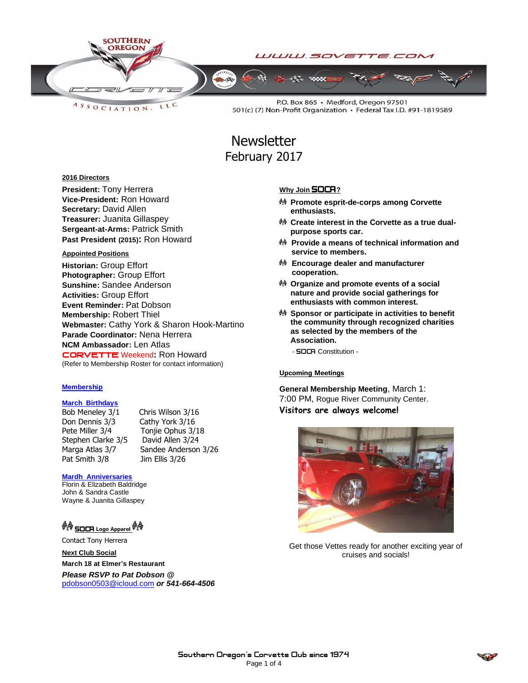

LLC ASSOCIATION.

P.O. Box 865 · Medford, Oregon 97501 501(c) (7) Non-Profit Organization · Federal Tax I.D. #91-1819589

# **Newsletter** February 2017

### **2016 Directors**

**President:** Tony Herrera **Vice-President:** Ron Howard **Secretary:** David Allen **Treasurer:** Juanita Gillaspey **Sergeant-at-Arms:** Patrick Smith **Past President (2015):** Ron Howard

### **Appointed Positions**

**Historian:** Group Effort **Photographer:** Group Effort **Sunshine:** Sandee Anderson **Activities:** Group Effort **Event Reminder:** Pat Dobson **Membership:** Robert Thiel **Webmaster:** Cathy York & Sharon Hook-Martino **Parade Coordinator:** Nena Herrera **NCM Ambassador:** Len Atlas CORVETTEWeekend**:** Ron Howard (Refer to Membership Roster for contact information)

### **Membership**

### **March Birthdays**

Bob Meneley 3/1 Chris Wilson 3/16 Don Dennis 3/3 Cathy York 3/16 Pete Miller 3/4 Tonjie Ophus 3/18 Stephen Clarke 3/5 David Allen 3/24 Pat Smith 3/8 Jim Ellis 3/26

Marga Atlas 3/7 Sandee Anderson 3/26

### **Mardh Anniversaries**

Florin & Elizabeth Baldridge John & Sandra Castle Wayne & Juanita Gillaspey

### **☆ SOCA** Logo Apparel ☆ ☆

Contact Tony Herrera

**Next Club Social March 18 at Elmer's Restaurant** *Please RSVP to Pat Dobson @*  [pdobson0503@icloud.com](mailto:pdobson0503@icloud.com) *or 541-664-4506*

# **Why Join SOCA**?

- **Promote esprit-de-corps among Corvette enthusiasts.**
- <sup>♦</sup> Create interest in the Corvette as a true dual**purpose sports car.**
- **Provide a means of technical information and service to members.**
- **Encourage dealer and manufacturer cooperation.**
- **Organize and promote events of a social nature and provide social gatherings for enthusiasts with common interest.**
- **Sponsor or participate in activities to benefit the community through recognized charities as selected by the members of the Association.**

- **SOCA** Constitution -

### Upcoming Meetings

**General Membership Meeting**, March 1: 7:00 PM, Rogue River Community Center. **Visitors are always welcome!**



Get those Vettes ready for another exciting year of cruises and socials!

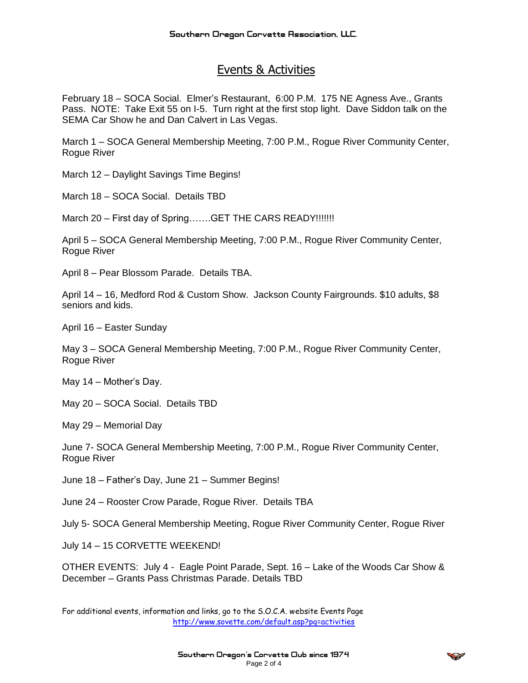# Events & Activities

February 18 – SOCA Social. Elmer's Restaurant, 6:00 P.M. 175 NE Agness Ave., Grants Pass. NOTE: Take Exit 55 on I-5. Turn right at the first stop light. Dave Siddon talk on the SEMA Car Show he and Dan Calvert in Las Vegas.

March 1 – SOCA General Membership Meeting, 7:00 P.M., Rogue River Community Center, Rogue River

March 12 – Daylight Savings Time Begins!

March 18 – SOCA Social. Details TBD

March 20 – First day of Spring…….GET THE CARS READY!!!!!!!

April 5 – SOCA General Membership Meeting, 7:00 P.M., Rogue River Community Center, Rogue River

April 8 – Pear Blossom Parade. Details TBA.

April 14 – 16, Medford Rod & Custom Show. Jackson County Fairgrounds. \$10 adults, \$8 seniors and kids.

April 16 – Easter Sunday

May 3 – SOCA General Membership Meeting, 7:00 P.M., Rogue River Community Center, Rogue River

May 14 – Mother's Day.

May 20 – SOCA Social. Details TBD

May 29 – Memorial Day

June 7- SOCA General Membership Meeting, 7:00 P.M., Rogue River Community Center, Rogue River

June 18 – Father's Day, June 21 – Summer Begins!

June 24 – Rooster Crow Parade, Rogue River. Details TBA

July 5- SOCA General Membership Meeting, Rogue River Community Center, Rogue River

July 14 – 15 CORVETTE WEEKEND!

OTHER EVENTS: July 4 - Eagle Point Parade, Sept. 16 – Lake of the Woods Car Show & December – Grants Pass Christmas Parade. Details TBD

For additional events, information and links, go to the S.O.C.A. website Events Page <http://www.sovette.com/default.asp?pg=activities>

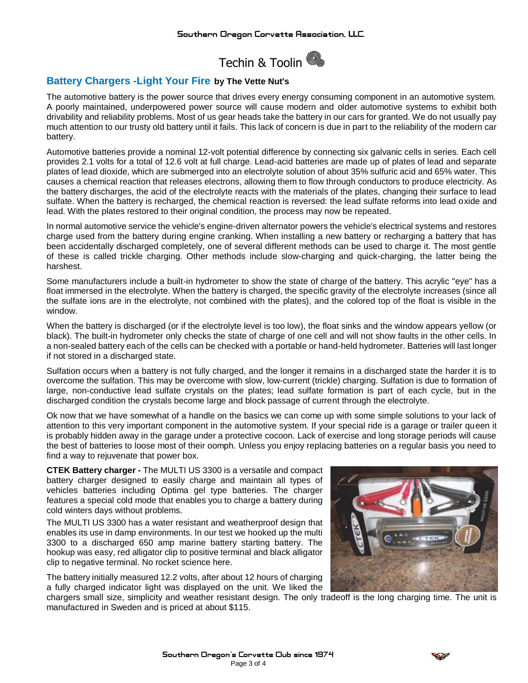

## **Battery Chargers -Light Your Fire by The Vette Nut's**

The automotive battery is the power source that drives every energy consuming component in an automotive system. A poorly maintained, underpowered power source will cause modern and older automotive systems to exhibit both drivability and reliability problems. Most of us gear heads take the battery in our cars for granted. We do not usually pay much attention to our trusty old battery until it fails. This lack of concern is due in part to the reliability of the modern car battery.

Automotive batteries provide a nominal 12-volt potential difference by connecting six galvanic cells in series. Each cell provides 2.1 volts for a total of 12.6 volt at full charge. Lead-acid batteries are made up of plates of lead and separate plates of lead dioxide, which are submerged into an electrolyte solution of about 35% sulfuric acid and 65% water. This causes a chemical reaction that releases electrons, allowing them to flow through conductors to produce electricity. As the battery discharges, the acid of the electrolyte reacts with the materials of the plates, changing their surface to lead sulfate. When the battery is recharged, the chemical reaction is reversed: the lead sulfate reforms into lead oxide and lead. With the plates restored to their original condition, the process may now be repeated.

In normal automotive service the vehicle's engine-driven alternator powers the vehicle's electrical systems and restores charge used from the battery during engine cranking. When installing a new battery or recharging a battery that has been accidentally discharged completely, one of several different methods can be used to charge it. The most gentle of these is called trickle charging. Other methods include slow-charging and quick-charging, the latter being the harshest.

Some manufacturers include a built-in hydrometer to show the state of charge of the battery. This acrylic "eye" has a float immersed in the electrolyte. When the battery is charged, the specific gravity of the electrolyte increases (since all the sulfate ions are in the electrolyte, not combined with the plates), and the colored top of the float is visible in the window.

When the battery is discharged (or if the electrolyte level is too low), the float sinks and the window appears yellow (or black). The built-in hydrometer only checks the state of charge of one cell and will not show faults in the other cells. In a non-sealed battery each of the cells can be checked with a portable or hand-held hydrometer. Batteries will last longer if not stored in a discharged state.

Sulfation occurs when a battery is not fully charged, and the longer it remains in a discharged state the harder it is to overcome the sulfation. This may be overcome with slow, low-current (trickle) charging. Sulfation is due to formation of large, non-conductive lead sulfate crystals on the plates; lead sulfate formation is part of each cycle, but in the discharged condition the crystals become large and block passage of current through the electrolyte.

Ok now that we have somewhat of a handle on the basics we can come up with some simple solutions to your lack of attention to this very important component in the automotive system. If your special ride is a garage or trailer queen it is probably hidden away in the garage under a protective cocoon. Lack of exercise and long storage periods will cause the best of batteries to loose most of their oomph. Unless you enjoy replacing batteries on a regular basis you need to find a way to rejuvenate that power box.

**CTEK Battery charger -** The MULTI US 3300 is a versatile and compact battery charger designed to easily charge and maintain all types of vehicles batteries including Optima gel type batteries. The charger features a special cold mode that enables you to charge a battery during cold winters days without problems.

The MULTI US 3300 has a water resistant and weatherproof design that enables its use in damp environments. In our test we hooked up the multi 3300 to a discharged 650 amp marine battery starting battery. The hookup was easy, red alligator clip to positive terminal and black alligator clip to negative terminal. No rocket science here.

The battery initially measured 12.2 volts, after about 12 hours of charging a fully charged indicator light was displayed on the unit. We liked the



chargers small size, simplicity and weather resistant design. The only tradeoff is the long charging time. The unit is manufactured in Sweden and is priced at about \$115.